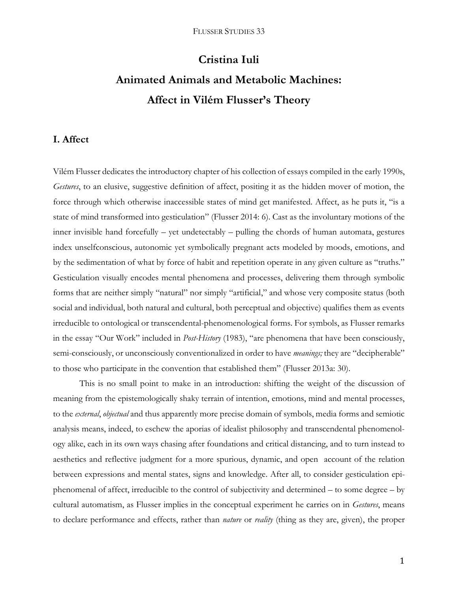# **Cristina Iuli Animated Animals and Metabolic Machines: Affect in Vilém Flusser's Theory**

## **I. Affect**

Vilém Flusser dedicates the introductory chapter of his collection of essays compiled in the early 1990s, *Gestures*, to an elusive, suggestive definition of affect, positing it as the hidden mover of motion, the force through which otherwise inaccessible states of mind get manifested. Affect, as he puts it, "is a state of mind transformed into gesticulation" (Flusser 2014: 6). Cast as the involuntary motions of the inner invisible hand forcefully – yet undetectably – pulling the chords of human automata, gestures index unselfconscious, autonomic yet symbolically pregnant acts modeled by moods, emotions, and by the sedimentation of what by force of habit and repetition operate in any given culture as "truths." Gesticulation visually encodes mental phenomena and processes, delivering them through symbolic forms that are neither simply "natural" nor simply "artificial," and whose very composite status (both social and individual, both natural and cultural, both perceptual and objective) qualifies them as events irreducible to ontological or transcendental-phenomenological forms. For symbols, as Flusser remarks in the essay "Our Work" included in *Post-History* (1983), "are phenomena that have been consciously, semi-consciously, or unconsciously conventionalized in order to have *meanings;* they are "decipherable" to those who participate in the convention that established them" (Flusser 2013a: 30).

This is no small point to make in an introduction: shifting the weight of the discussion of meaning from the epistemologically shaky terrain of intention, emotions, mind and mental processes, to the *external*, *objectual* and thus apparently more precise domain of symbols, media forms and semiotic analysis means, indeed, to eschew the aporias of idealist philosophy and transcendental phenomenology alike, each in its own ways chasing after foundations and critical distancing, and to turn instead to aesthetics and reflective judgment for a more spurious, dynamic, and open account of the relation between expressions and mental states, signs and knowledge. After all, to consider gesticulation epiphenomenal of affect, irreducible to the control of subjectivity and determined – to some degree – by cultural automatism, as Flusser implies in the conceptual experiment he carries on in *Gestures*, means to declare performance and effects, rather than *nature* or *reality* (thing as they are, given), the proper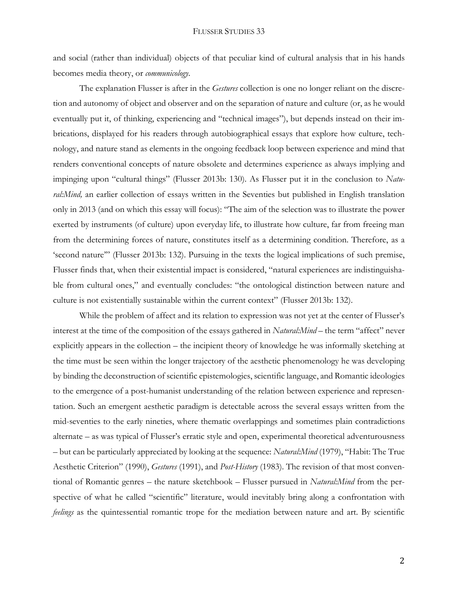and social (rather than individual) objects of that peculiar kind of cultural analysis that in his hands becomes media theory, or *communicology*.

The explanation Flusser is after in the *Gestures* collection is one no longer reliant on the discretion and autonomy of object and observer and on the separation of nature and culture (or, as he would eventually put it, of thinking, experiencing and "technical images"), but depends instead on their imbrications, displayed for his readers through autobiographical essays that explore how culture, technology, and nature stand as elements in the ongoing feedback loop between experience and mind that renders conventional concepts of nature obsolete and determines experience as always implying and impinging upon "cultural things" (Flusser 2013b: 130). As Flusser put it in the conclusion to *Natu*ral: Mind, an earlier collection of essays written in the Seventies but published in English translation only in 2013 (and on which this essay will focus): "The aim of the selection was to illustrate the power exerted by instruments (of culture) upon everyday life, to illustrate how culture, far from freeing man from the determining forces of nature, constitutes itself as a determining condition. Therefore, as a 'second nature'" (Flusser 2013b: 132). Pursuing in the texts the logical implications of such premise, Flusser finds that, when their existential impact is considered, "natural experiences are indistinguishable from cultural ones," and eventually concludes: "the ontological distinction between nature and culture is not existentially sustainable within the current context" (Flusser 2013b: 132).

While the problem of affect and its relation to expression was not yet at the center of Flusser's interest at the time of the composition of the essays gathered in *Natural:Mind –* the term "affect" never explicitly appears in the collection – the incipient theory of knowledge he was informally sketching at the time must be seen within the longer trajectory of the aesthetic phenomenology he was developing by binding the deconstruction of scientific epistemologies, scientific language, and Romantic ideologies to the emergence of a post-humanist understanding of the relation between experience and representation. Such an emergent aesthetic paradigm is detectable across the several essays written from the mid-seventies to the early nineties, where thematic overlappings and sometimes plain contradictions alternate – as was typical of Flusser's erratic style and open, experimental theoretical adventurousness – but can be particularly appreciated by looking at the sequence: *Natural:Mind* (1979), "Habit: The True Aesthetic Criterion" (1990), *Gestures* (1991), and *Post-History* (1983). The revision of that most conventional of Romantic genres – the nature sketchbook – Flusser pursued in *Natural:Mind* from the perspective of what he called "scientific" literature, would inevitably bring along a confrontation with *feelings* as the quintessential romantic trope for the mediation between nature and art. By scientific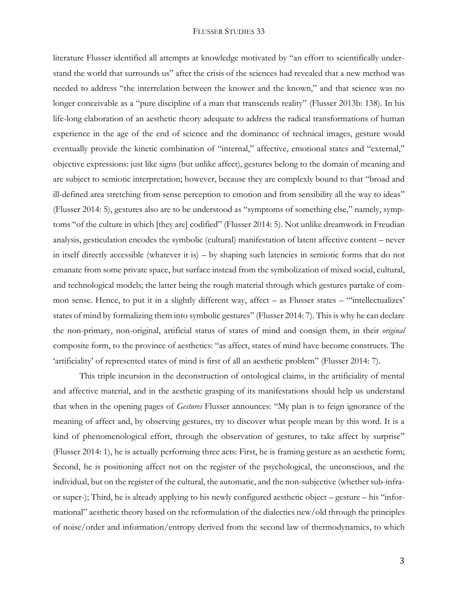literature Flusser identified all attempts at knowledge motivated by "an effort to scientifically understand the world that surrounds us" after the crisis of the sciences had revealed that a new method was needed to address "the interrelation between the knower and the known," and that science was no longer conceivable as a "pure discipline of a man that transcends reality" (Flusser 2013b: 138). In his life-long elaboration of an aesthetic theory adequate to address the radical transformations of human experience in the age of the end of science and the dominance of technical images, gesture would eventually provide the kinetic combination of "internal," affective, emotional states and "external," objective expressions: just like signs (but unlike affect), gestures belong to the domain of meaning and are subject to semiotic interpretation; however, because they are complexly bound to that "broad and ill-defined area stretching from sense perception to emotion and from sensibility all the way to ideas" (Flusser 2014: 5), gestures also are to be understood as "symptoms of something else," namely, symptoms "of the culture in which [they are] codified" (Flusser 2014: 5). Not unlike dreamwork in Freudian analysis, gesticulation encodes the symbolic (cultural) manifestation of latent affective content – never in itself directly accessible (whatever it is) – by shaping such latencies in semiotic forms that do not emanate from some private space, but surface instead from the symbolization of mixed social, cultural, and technological models; the latter being the rough material through which gestures partake of common sense. Hence, to put it in a slightly different way, affect – as Flusser states – "'intellectualizes' states of mind by formalizing them into symbolic gestures" (Flusser 2014: 7). This is why he can declare the non-primary, non-original, artificial status of states of mind and consign them, in their *original*  composite form, to the province of aesthetics: "as affect, states of mind have become constructs. The 'artificiality' of represented states of mind is first of all an aesthetic problem" (Flusser 2014: 7).

This triple incursion in the deconstruction of ontological claims, in the artificiality of mental and affective material, and in the aesthetic grasping of its manifestations should help us understand that when in the opening pages of *Gestures* Flusser announces: "My plan is to feign ignorance of the meaning of affect and, by observing gestures, try to discover what people mean by this word. It is a kind of phenomenological effort, through the observation of gestures, to take affect by surprise" (Flusser 2014: 1), he is actually performing three acts: First, he is framing gesture as an aesthetic form; Second, he is positioning affect not on the register of the psychological, the unconscious, and the individual, but on the register of the cultural, the automatic, and the non-subjective (whether sub-infraor super-); Third, he is already applying to his newly configured aesthetic object – gesture – his "informational" aesthetic theory based on the reformulation of the dialectics new/old through the principles of noise/order and information/entropy derived from the second law of thermodynamics, to which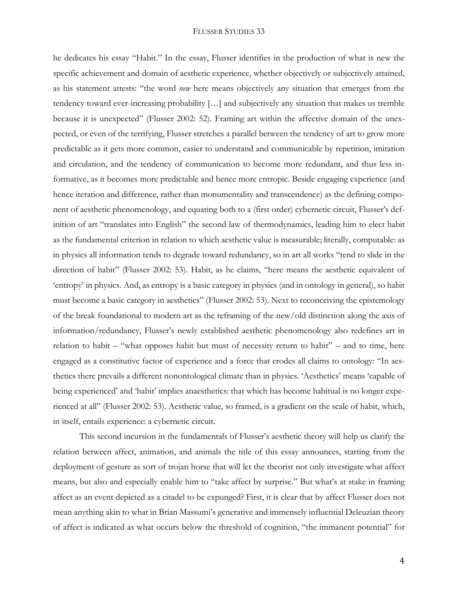he dedicates his essay "Habit." In the essay, Flusser identifies in the production of what is new the specific achievement and domain of aesthetic experience, whether objectively or subjectively attained, as his statement attests: "the word *new* here means objectively any situation that emerges from the tendency toward ever-increasing probability […] and subjectively any situation that makes us tremble because it is unexpected" (Flusser 2002: 52). Framing art within the affective domain of the unexpected, or even of the terrifying, Flusser stretches a parallel between the tendency of art to grow more predictable as it gets more common, easier to understand and communicable by repetition, imitation and circulation, and the tendency of communication to become more redundant, and thus less informative, as it becomes more predictable and hence more entropic. Beside engaging experience (and hence iteration and difference, rather than monumentality and transcendence) as the defining component of aesthetic phenomenology, and equating both to a (first order) cybernetic circuit, Flusser's definition of art "translates into English" the second law of thermodynamics, leading him to elect habit as the fundamental criterion in relation to which aesthetic value is measurable; literally, computable: as in physics all information tends to degrade toward redundancy, so in art all works "tend to slide in the direction of habit" (Flusser 2002: 53). Habit, as he claims, "here means the aesthetic equivalent of 'entropy' in physics. And, as entropy is a basic category in physics (and in ontology in general), so habit must become a basic category in aesthetics" (Flusser 2002: 53). Next to reconceiving the epistemology of the break foundational to modern art as the reframing of the new/old distinction along the axis of information/redundancy, Flusser's newly established aesthetic phenomenology also redefines art in relation to habit – "what opposes habit but must of necessity return to habit" – and to time, here engaged as a constitutive factor of experience and a force that erodes all claims to ontology: "In aesthetics there prevails a different nonontological climate than in physics. 'Aesthetics' means 'capable of being experienced' and 'habit' implies anaesthetics: that which has become habitual is no longer experienced at all" (Flusser 2002: 53). Aesthetic value, so framed, is a gradient on the scale of habit, which, in itself, entails experience: a cybernetic circuit.

This second incursion in the fundamentals of Flusser's aesthetic theory will help us clarify the relation between affect, animation, and animals the title of this essay announces, starting from the deployment of gesture as sort of trojan horse that will let the theorist not only investigate what affect means, but also and especially enable him to "take affect by surprise." But what's at stake in framing affect as an event depicted as a citadel to be expunged? First, it is clear that by affect Flusser does not mean anything akin to what in Brian Massumi's generative and immensely influential Deleuzian theory of affect is indicated as what occurs below the threshold of cognition, "the immanent potential" for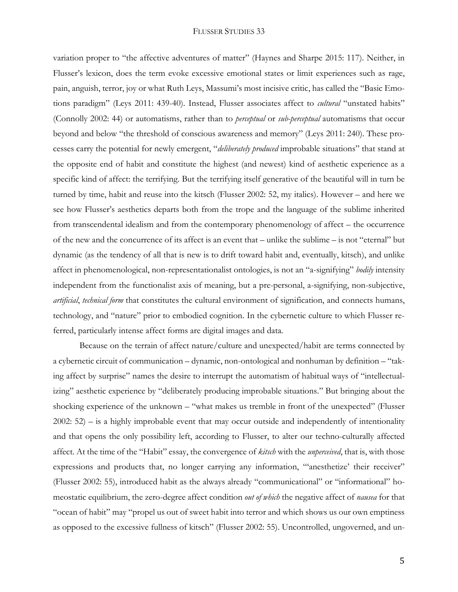variation proper to "the affective adventures of matter" (Haynes and Sharpe 2015: 117). Neither, in Flusser's lexicon, does the term evoke excessive emotional states or limit experiences such as rage, pain, anguish, terror, joy or what Ruth Leys, Massumi's most incisive critic, has called the "Basic Emotions paradigm" (Leys 2011: 439-40). Instead, Flusser associates affect to *cultural* "unstated habits" (Connolly 2002: 44) or automatisms, rather than to *perceptual* or *sub-perceptual* automatisms that occur beyond and below "the threshold of conscious awareness and memory" (Leys 2011: 240). These processes carry the potential for newly emergent, "*deliberately produced* improbable situations" that stand at the opposite end of habit and constitute the highest (and newest) kind of aesthetic experience as a specific kind of affect: the terrifying. But the terrifying itself generative of the beautiful will in turn be turned by time, habit and reuse into the kitsch (Flusser 2002: 52, my italics). However – and here we see how Flusser's aesthetics departs both from the trope and the language of the sublime inherited from transcendental idealism and from the contemporary phenomenology of affect – the occurrence of the new and the concurrence of its affect is an event that – unlike the sublime – is not "eternal" but dynamic (as the tendency of all that is new is to drift toward habit and, eventually, kitsch), and unlike affect in phenomenological, non-representationalist ontologies, is not an "a-signifying" *bodily* intensity independent from the functionalist axis of meaning, but a pre-personal, a-signifying, non-subjective, *artificial*, *technical form* that constitutes the cultural environment of signification, and connects humans, technology, and "nature" prior to embodied cognition. In the cybernetic culture to which Flusser referred, particularly intense affect forms are digital images and data.

Because on the terrain of affect nature/culture and unexpected/habit are terms connected by a cybernetic circuit of communication – dynamic, non-ontological and nonhuman by definition – "taking affect by surprise" names the desire to interrupt the automatism of habitual ways of "intellectualizing" aesthetic experience by "deliberately producing improbable situations." But bringing about the shocking experience of the unknown – "what makes us tremble in front of the unexpected" (Flusser 2002: 52) – is a highly improbable event that may occur outside and independently of intentionality and that opens the only possibility left, according to Flusser, to alter our techno-culturally affected affect. At the time of the "Habit" essay, the convergence of *kitsch* with the *unperceived*, that is, with those expressions and products that, no longer carrying any information, "'anesthetize' their receiver" (Flusser 2002: 55), introduced habit as the always already "communicational" or "informational" homeostatic equilibrium, the zero-degree affect condition *out of which* the negative affect of *nausea* for that "ocean of habit" may "propel us out of sweet habit into terror and which shows us our own emptiness as opposed to the excessive fullness of kitsch" (Flusser 2002: 55). Uncontrolled, ungoverned, and un-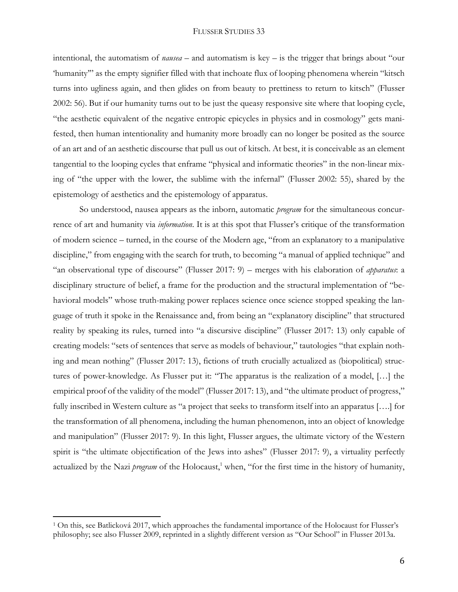intentional, the automatism of *nausea* – and automatism is key – is the trigger that brings about "our 'humanity'" as the empty signifier filled with that inchoate flux of looping phenomena wherein "kitsch turns into ugliness again, and then glides on from beauty to prettiness to return to kitsch" (Flusser 2002: 56). But if our humanity turns out to be just the queasy responsive site where that looping cycle, "the aesthetic equivalent of the negative entropic epicycles in physics and in cosmology" gets manifested, then human intentionality and humanity more broadly can no longer be posited as the source of an art and of an aesthetic discourse that pull us out of kitsch. At best, it is conceivable as an element tangential to the looping cycles that enframe "physical and informatic theories" in the non-linear mixing of "the upper with the lower, the sublime with the infernal" (Flusser 2002: 55), shared by the epistemology of aesthetics and the epistemology of apparatus.

So understood, nausea appears as the inborn, automatic *program* for the simultaneous concurrence of art and humanity via *information*. It is at this spot that Flusser's critique of the transformation of modern science – turned, in the course of the Modern age, "from an explanatory to a manipulative discipline," from engaging with the search for truth, to becoming "a manual of applied technique" and "an observational type of discourse" (Flusser 2017: 9) – merges with his elaboration of *apparatus*: a disciplinary structure of belief, a frame for the production and the structural implementation of "behavioral models" whose truth-making power replaces science once science stopped speaking the language of truth it spoke in the Renaissance and, from being an "explanatory discipline" that structured reality by speaking its rules, turned into "a discursive discipline" (Flusser 2017: 13) only capable of creating models: "sets of sentences that serve as models of behaviour," tautologies "that explain nothing and mean nothing" (Flusser 2017: 13), fictions of truth crucially actualized as (biopolitical) structures of power-knowledge. As Flusser put it: "The apparatus is the realization of a model, […] the empirical proof of the validity of the model" (Flusser 2017: 13), and "the ultimate product of progress," fully inscribed in Western culture as "a project that seeks to transform itself into an apparatus [….] for the transformation of all phenomena, including the human phenomenon, into an object of knowledge and manipulation" (Flusser 2017: 9). In this light, Flusser argues, the ultimate victory of the Western spirit is "the ultimate objectification of the Jews into ashes" (Flusser 2017: 9), a virtuality perfectly actualized by the Nazi *program* of the Holocaust, <sup>1</sup> when, "for the first time in the history of humanity,

 $\overline{a}$ 

<sup>1</sup> On this, see Batlicková 2017, which approaches the fundamental importance of the Holocaust for Flusser's philosophy; see also Flusser 2009, reprinted in a slightly different version as "Our School" in Flusser 2013a.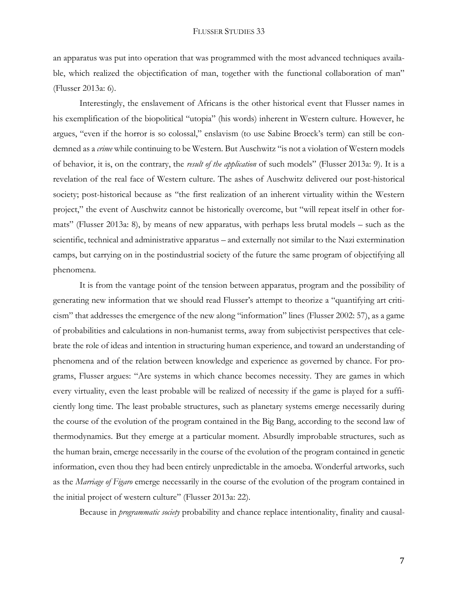an apparatus was put into operation that was programmed with the most advanced techniques available, which realized the objectification of man, together with the functional collaboration of man" (Flusser 2013a: 6).

Interestingly, the enslavement of Africans is the other historical event that Flusser names in his exemplification of the biopolitical "utopia" (his words) inherent in Western culture. However, he argues, "even if the horror is so colossal," enslavism (to use Sabine Broeck's term) can still be condemned as a *crime* while continuing to be Western. But Auschwitz "is not a violation of Western models of behavior, it is, on the contrary, the *result of the application* of such models" (Flusser 2013a: 9). It is a revelation of the real face of Western culture. The ashes of Auschwitz delivered our post-historical society; post-historical because as "the first realization of an inherent virtuality within the Western project," the event of Auschwitz cannot be historically overcome, but "will repeat itself in other formats" (Flusser 2013a: 8), by means of new apparatus, with perhaps less brutal models – such as the scientific, technical and administrative apparatus – and externally not similar to the Nazi extermination camps, but carrying on in the postindustrial society of the future the same program of objectifying all phenomena.

It is from the vantage point of the tension between apparatus, program and the possibility of generating new information that we should read Flusser's attempt to theorize a "quantifying art criticism" that addresses the emergence of the new along "information" lines (Flusser 2002: 57), as a game of probabilities and calculations in non-humanist terms, away from subjectivist perspectives that celebrate the role of ideas and intention in structuring human experience, and toward an understanding of phenomena and of the relation between knowledge and experience as governed by chance. For programs, Flusser argues: "Are systems in which chance becomes necessity. They are games in which every virtuality, even the least probable will be realized of necessity if the game is played for a sufficiently long time. The least probable structures, such as planetary systems emerge necessarily during the course of the evolution of the program contained in the Big Bang, according to the second law of thermodynamics. But they emerge at a particular moment. Absurdly improbable structures, such as the human brain, emerge necessarily in the course of the evolution of the program contained in genetic information, even thou they had been entirely unpredictable in the amoeba. Wonderful artworks, such as the *Marriage of Figaro* emerge necessarily in the course of the evolution of the program contained in the initial project of western culture" (Flusser 2013a: 22).

Because in *programmatic society* probability and chance replace intentionality, finality and causal-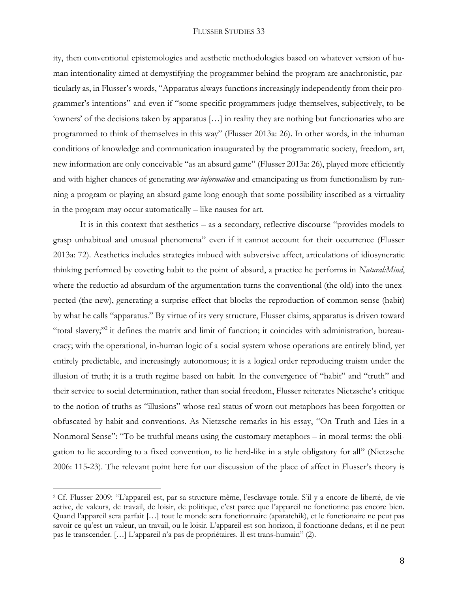ity, then conventional epistemologies and aesthetic methodologies based on whatever version of human intentionality aimed at demystifying the programmer behind the program are anachronistic, particularly as, in Flusser's words, "Apparatus always functions increasingly independently from their programmer's intentions" and even if "some specific programmers judge themselves, subjectively, to be 'owners' of the decisions taken by apparatus […] in reality they are nothing but functionaries who are programmed to think of themselves in this way" (Flusser 2013a: 26). In other words, in the inhuman conditions of knowledge and communication inaugurated by the programmatic society, freedom, art, new information are only conceivable "as an absurd game" (Flusser 2013a: 26), played more efficiently and with higher chances of generating *new information* and emancipating us from functionalism by running a program or playing an absurd game long enough that some possibility inscribed as a virtuality in the program may occur automatically – like nausea for art.

It is in this context that aesthetics – as a secondary, reflective discourse "provides models to grasp unhabitual and unusual phenomena" even if it cannot account for their occurrence (Flusser 2013a: 72). Aesthetics includes strategies imbued with subversive affect, articulations of idiosyncratic thinking performed by coveting habit to the point of absurd, a practice he performs in *Natural:Mind*, where the reductio ad absurdum of the argumentation turns the conventional (the old) into the unexpected (the new), generating a surprise-effect that blocks the reproduction of common sense (habit) by what he calls "apparatus." By virtue of its very structure, Flusser claims, apparatus is driven toward "total slavery;"<sup>2</sup> it defines the matrix and limit of function; it coincides with administration, bureaucracy; with the operational, in-human logic of a social system whose operations are entirely blind, yet entirely predictable, and increasingly autonomous; it is a logical order reproducing truism under the illusion of truth; it is a truth regime based on habit. In the convergence of "habit" and "truth" and their service to social determination, rather than social freedom, Flusser reiterates Nietzsche's critique to the notion of truths as "illusions" whose real status of worn out metaphors has been forgotten or obfuscated by habit and conventions. As Nietzsche remarks in his essay, "On Truth and Lies in a Nonmoral Sense": "To be truthful means using the customary metaphors – in moral terms: the obligation to lie according to a fixed convention, to lie herd-like in a style obligatory for all" (Nietzsche 2006: 115-23). The relevant point here for our discussion of the place of affect in Flusser's theory is

 $\overline{a}$ 

<sup>2</sup> Cf. Flusser 2009: "L'appareil est, par sa structure même, l'esclavage totale. S'il y a encore de liberté, de vie active, de valeurs, de travail, de loisir, de politique, c'est parce que l'appareil ne fonctionne pas encore bien. Quand l'appareil sera parfait […] tout le monde sera fonctionnaire (aparatchik), et le fonctionaire ne peut pas savoir ce qu'est un valeur, un travail, ou le loisir. L'appareil est son horizon, il fonctionne dedans, et il ne peut pas le transcender. […] L'appareil n'a pas de propriétaires. Il est trans-humain" (2).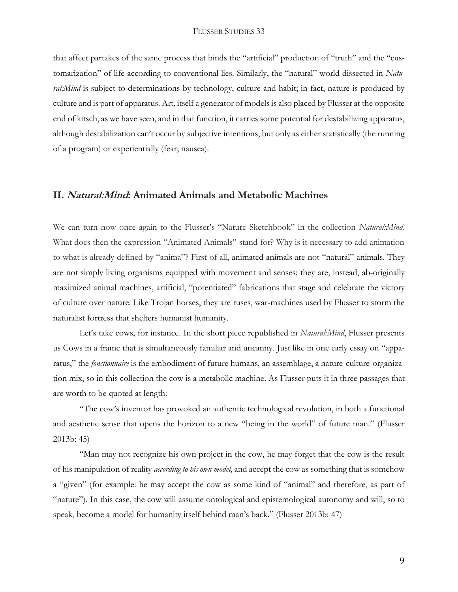that affect partakes of the same process that binds the "artificial" production of "truth" and the "customarization" of life according to conventional lies. Similarly, the "natural" world dissected in *Natural:Mind* is subject to determinations by technology, culture and habit; in fact, nature is produced by culture and is part of apparatus. Art, itself a generator of models is also placed by Flusser at the opposite end of kitsch, as we have seen, and in that function, it carries some potential for destabilizing apparatus, although destabilization can't occur by subjective intentions, but only as either statistically (the running of a program) or experientially (fear; nausea).

## **II. Natural:Mind: Animated Animals and Metabolic Machines**

We can turn now once again to the Flusser's "Nature Sketchbook" in the collection *Natural:Mind*. What does then the expression "Animated Animals" stand for? Why is it necessary to add animation to what is already defined by "anima"? First of all, animated animals are not "natural" animals. They are not simply living organisms equipped with movement and senses; they are, instead, ab-originally maximized animal machines, artificial, "potentiated" fabrications that stage and celebrate the victory of culture over nature. Like Trojan horses, they are ruses, war-machines used by Flusser to storm the naturalist fortress that shelters humanist humanity.

Let's take cows, for instance. In the short piece republished in *Natural:Mind*, Flusser presents us Cows in a frame that is simultaneously familiar and uncanny. Just like in one early essay on "apparatus," the *fonctionnaire* is the embodiment of future humans, an assemblage, a nature-culture-organization mix, so in this collection the cow is a metabolic machine. As Flusser puts it in three passages that are worth to be quoted at length:

"The cow's inventor has provoked an authentic technological revolution, in both a functional and aesthetic sense that opens the horizon to a new "being in the world" of future man." (Flusser 2013b: 45)

"Man may not recognize his own project in the cow, he may forget that the cow is the result of his manipulation of reality *according to his own model*, and accept the cow as something that is somehow a "given" (for example: he may accept the cow as some kind of "animal" and therefore, as part of "nature"). In this case, the cow will assume ontological and epistemological autonomy and will, so to speak, become a model for humanity itself behind man's back." (Flusser 2013b: 47)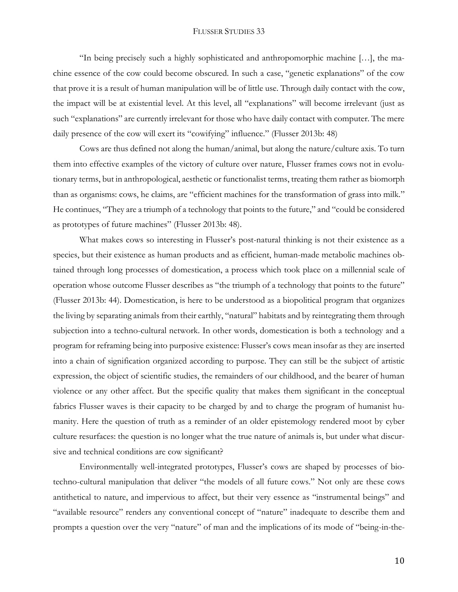"In being precisely such a highly sophisticated and anthropomorphic machine […], the machine essence of the cow could become obscured. In such a case, "genetic explanations" of the cow that prove it is a result of human manipulation will be of little use. Through daily contact with the cow, the impact will be at existential level. At this level, all "explanations" will become irrelevant (just as such "explanations" are currently irrelevant for those who have daily contact with computer. The mere daily presence of the cow will exert its "cowifying" influence." (Flusser 2013b: 48)

Cows are thus defined not along the human/animal, but along the nature/culture axis. To turn them into effective examples of the victory of culture over nature, Flusser frames cows not in evolutionary terms, but in anthropological, aesthetic or functionalist terms, treating them rather as biomorph than as organisms: cows, he claims, are "efficient machines for the transformation of grass into milk." He continues, "They are a triumph of a technology that points to the future," and "could be considered as prototypes of future machines" (Flusser 2013b: 48).

What makes cows so interesting in Flusser's post-natural thinking is not their existence as a species, but their existence as human products and as efficient, human-made metabolic machines obtained through long processes of domestication, a process which took place on a millennial scale of operation whose outcome Flusser describes as "the triumph of a technology that points to the future" (Flusser 2013b: 44). Domestication, is here to be understood as a biopolitical program that organizes the living by separating animals from their earthly, "natural" habitats and by reintegrating them through subjection into a techno-cultural network. In other words, domestication is both a technology and a program for reframing being into purposive existence: Flusser's cows mean insofar as they are inserted into a chain of signification organized according to purpose. They can still be the subject of artistic expression, the object of scientific studies, the remainders of our childhood, and the bearer of human violence or any other affect. But the specific quality that makes them significant in the conceptual fabrics Flusser waves is their capacity to be charged by and to charge the program of humanist humanity. Here the question of truth as a reminder of an older epistemology rendered moot by cyber culture resurfaces: the question is no longer what the true nature of animals is, but under what discursive and technical conditions are cow significant?

Environmentally well-integrated prototypes, Flusser's cows are shaped by processes of biotechno-cultural manipulation that deliver "the models of all future cows." Not only are these cows antithetical to nature, and impervious to affect, but their very essence as "instrumental beings" and "available resource" renders any conventional concept of "nature" inadequate to describe them and prompts a question over the very "nature" of man and the implications of its mode of "being-in-the-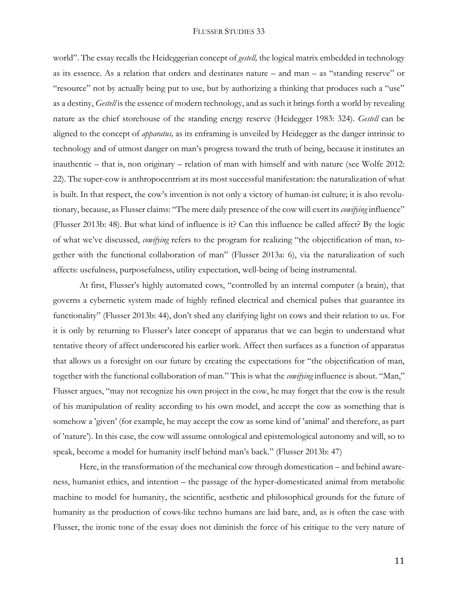world". The essay recalls the Heideggerian concept of *gestell,* the logical matrix embedded in technology as its essence. As a relation that orders and destinates nature – and man – as "standing reserve" or "resource" not by actually being put to use, but by authorizing a thinking that produces such a "use" as a destiny, *Gestell* is the essence of modern technology, and as such it brings forth a world by revealing nature as the chief storehouse of the standing energy reserve (Heidegger 1983: 324). *Gestell* can be aligned to the concept of *apparatus,* as its enframing is unveiled by Heidegger as the danger intrinsic to technology and of utmost danger on man's progress toward the truth of being, because it institutes an inauthentic – that is, non originary – relation of man with himself and with nature (see Wolfe 2012: 22). The super-cow is anthropocentrism at its most successful manifestation: the naturalization of what is built. In that respect, the cow's invention is not only a victory of human-ist culture; it is also revolutionary, because, as Flusser claims: "The mere daily presence of the cow will exert its *cowifying* influence" (Flusser 2013b: 48). But what kind of influence is it? Can this influence be called affect? By the logic of what we've discussed, *cowifying* refers to the program for realizing "the objectification of man, together with the functional collaboration of man" (Flusser 2013a: 6), via the naturalization of such affects: usefulness, purposefulness, utility expectation, well-being of being instrumental.

At first, Flusser's highly automated cows, "controlled by an internal computer (a brain), that governs a cybernetic system made of highly refined electrical and chemical pulses that guarantee its functionality" (Flusser 2013b: 44), don't shed any clarifying light on cows and their relation to us. For it is only by returning to Flusser's later concept of apparatus that we can begin to understand what tentative theory of affect underscored his earlier work. Affect then surfaces as a function of apparatus that allows us a foresight on our future by creating the expectations for "the objectification of man, together with the functional collaboration of man." This is what the *cowifying* influence is about. "Man," Flusser argues, "may not recognize his own project in the cow, he may forget that the cow is the result of his manipulation of reality according to his own model, and accept the cow as something that is somehow a 'given' (for example, he may accept the cow as some kind of 'animal' and therefore, as part of 'nature'). In this case, the cow will assume ontological and epistemological autonomy and will, so to speak, become a model for humanity itself behind man's back." (Flusser 2013b: 47)

Here, in the transformation of the mechanical cow through domestication – and behind awareness, humanist ethics, and intention – the passage of the hyper-domesticated animal from metabolic machine to model for humanity, the scientific, aesthetic and philosophical grounds for the future of humanity as the production of cows-like techno humans are laid bare, and, as is often the case with Flusser, the ironic tone of the essay does not diminish the force of his critique to the very nature of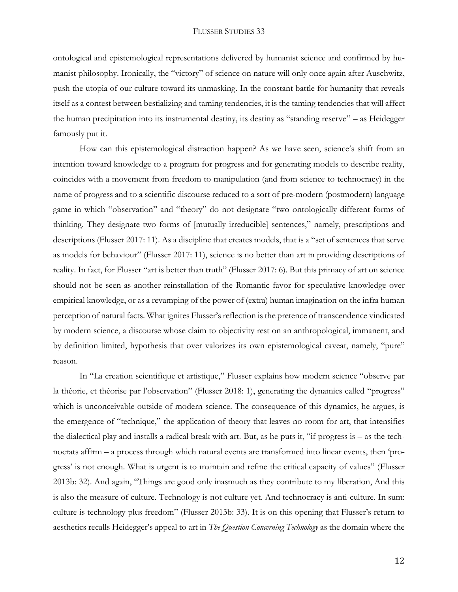ontological and epistemological representations delivered by humanist science and confirmed by humanist philosophy. Ironically, the "victory" of science on nature will only once again after Auschwitz, push the utopia of our culture toward its unmasking. In the constant battle for humanity that reveals itself as a contest between bestializing and taming tendencies, it is the taming tendencies that will affect the human precipitation into its instrumental destiny, its destiny as "standing reserve" – as Heidegger famously put it.

How can this epistemological distraction happen? As we have seen, science's shift from an intention toward knowledge to a program for progress and for generating models to describe reality, coincides with a movement from freedom to manipulation (and from science to technocracy) in the name of progress and to a scientific discourse reduced to a sort of pre-modern (postmodern) language game in which "observation" and "theory" do not designate "two ontologically different forms of thinking. They designate two forms of [mutually irreducible] sentences," namely, prescriptions and descriptions (Flusser 2017: 11). As a discipline that creates models, that is a "set of sentences that serve as models for behaviour" (Flusser 2017: 11), science is no better than art in providing descriptions of reality. In fact, for Flusser "art is better than truth" (Flusser 2017: 6). But this primacy of art on science should not be seen as another reinstallation of the Romantic favor for speculative knowledge over empirical knowledge, or as a revamping of the power of (extra) human imagination on the infra human perception of natural facts. What ignites Flusser's reflection is the pretence of transcendence vindicated by modern science, a discourse whose claim to objectivity rest on an anthropological, immanent, and by definition limited, hypothesis that over valorizes its own epistemological caveat, namely, "pure" reason.

In "La creation scientifique et artistique," Flusser explains how modern science "observe par la théorie, et théorise par l'observation" (Flusser 2018: 1), generating the dynamics called "progress" which is unconceivable outside of modern science. The consequence of this dynamics, he argues, is the emergence of "technique," the application of theory that leaves no room for art, that intensifies the dialectical play and installs a radical break with art. But, as he puts it, "if progress is – as the technocrats affirm – a process through which natural events are transformed into linear events, then 'progress' is not enough. What is urgent is to maintain and refine the critical capacity of values" (Flusser 2013b: 32). And again, "Things are good only inasmuch as they contribute to my liberation, And this is also the measure of culture. Technology is not culture yet. And technocracy is anti-culture. In sum: culture is technology plus freedom" (Flusser 2013b: 33). It is on this opening that Flusser's return to aesthetics recalls Heidegger's appeal to art in *The Question Concerning Technology* as the domain where the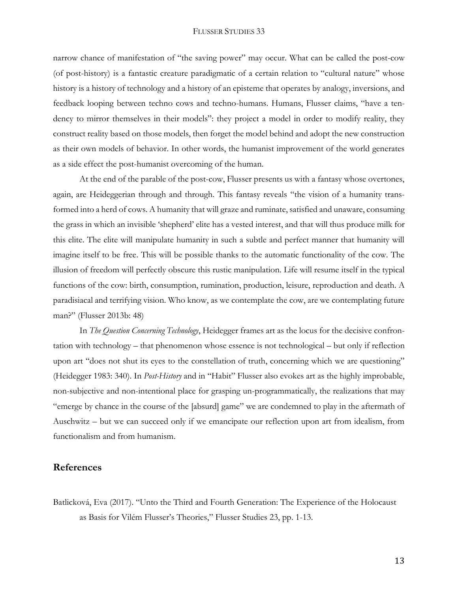narrow chance of manifestation of "the saving power" may occur. What can be called the post-cow (of post-history) is a fantastic creature paradigmatic of a certain relation to "cultural nature" whose history is a history of technology and a history of an episteme that operates by analogy, inversions, and feedback looping between techno cows and techno-humans. Humans, Flusser claims, "have a tendency to mirror themselves in their models": they project a model in order to modify reality, they construct reality based on those models, then forget the model behind and adopt the new construction as their own models of behavior. In other words, the humanist improvement of the world generates as a side effect the post-humanist overcoming of the human.

At the end of the parable of the post-cow, Flusser presents us with a fantasy whose overtones, again, are Heideggerian through and through. This fantasy reveals "the vision of a humanity transformed into a herd of cows. A humanity that will graze and ruminate, satisfied and unaware, consuming the grass in which an invisible 'shepherd' elite has a vested interest, and that will thus produce milk for this elite. The elite will manipulate humanity in such a subtle and perfect manner that humanity will imagine itself to be free. This will be possible thanks to the automatic functionality of the cow. The illusion of freedom will perfectly obscure this rustic manipulation. Life will resume itself in the typical functions of the cow: birth, consumption, rumination, production, leisure, reproduction and death. A paradisiacal and terrifying vision. Who know, as we contemplate the cow, are we contemplating future man?" (Flusser 2013b: 48)

In *The Question Concerning Technology*, Heidegger frames art as the locus for the decisive confrontation with technology – that phenomenon whose essence is not technological – but only if reflection upon art "does not shut its eyes to the constellation of truth, concerning which we are questioning" (Heidegger 1983: 340). In *Post-History* and in "Habit" Flusser also evokes art as the highly improbable, non-subjective and non-intentional place for grasping un-programmatically, the realizations that may "emerge by chance in the course of the [absurd] game" we are condemned to play in the aftermath of Auschwitz – but we can succeed only if we emancipate our reflection upon art from idealism, from functionalism and from humanism.

## **References**

Batlicková, Eva (2017). "Unto the Third and Fourth Generation: The Experience of the Holocaust as Basis for Vilém Flusser's Theories," Flusser Studies 23, pp. 1-13.